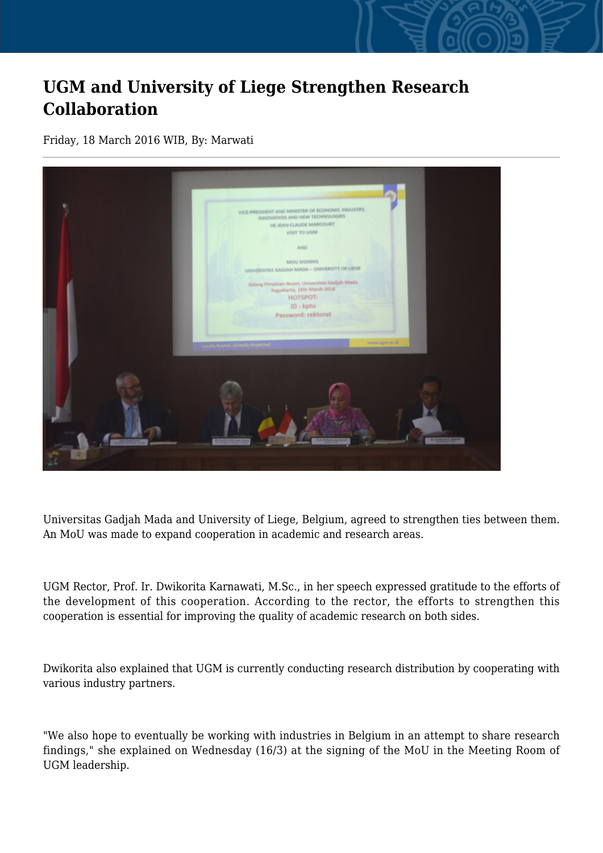## **UGM and University of Liege Strengthen Research Collaboration**

Friday, 18 March 2016 WIB, By: Marwati



Universitas Gadjah Mada and University of Liege, Belgium, agreed to strengthen ties between them. An MoU was made to expand cooperation in academic and research areas.

UGM Rector, Prof. Ir. Dwikorita Karnawati, M.Sc., in her speech expressed gratitude to the efforts of the development of this cooperation. According to the rector, the efforts to strengthen this cooperation is essential for improving the quality of academic research on both sides.

Dwikorita also explained that UGM is currently conducting research distribution by cooperating with various industry partners.

"We also hope to eventually be working with industries in Belgium in an attempt to share research findings," she explained on Wednesday (16/3) at the signing of the MoU in the Meeting Room of UGM leadership.